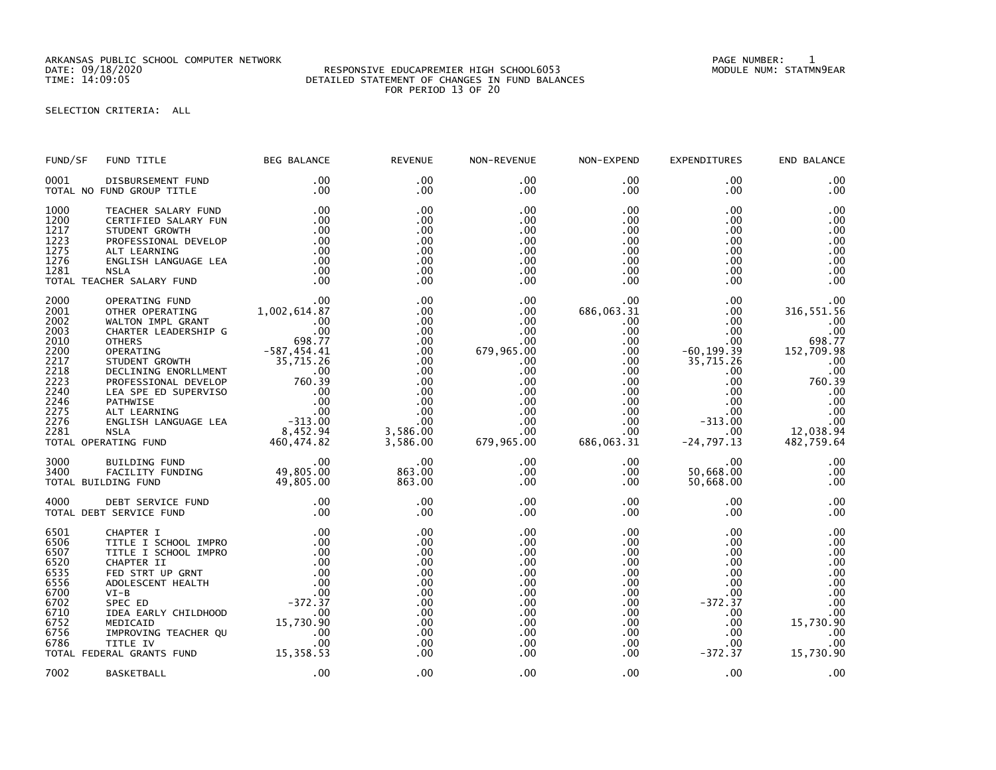ARKANSAS PUBLIC SCHOOL COMPUTER NETWORK PAGE NUMBER: 1

## DATE: 09/18/2020 RESPONSIVE EDUCAPREMIER HIGH SCHOOL6053 MODULE NUM: STATMN9EAR TIME: 14:09:05 DETAILED STATEMENT OF CHANGES IN FUND BALANCES FOR PERIOD 13 OF 20

SELECTION CRITERIA: ALL

| FUND/SF                                                                                                      | FUND TITLE                                                                                                                                                                                                                                                                                        | <b>BEG BALANCE</b>                                                                                                                                                         | <b>REVENUE</b>                                                                                                   | NON-REVENUE                                                                                                                                                 | NON-EXPEND                                                                                                                                                                      | <b>EXPENDITURES</b>                                                                                                                                  | END BALANCE                                                                                                                                  |
|--------------------------------------------------------------------------------------------------------------|---------------------------------------------------------------------------------------------------------------------------------------------------------------------------------------------------------------------------------------------------------------------------------------------------|----------------------------------------------------------------------------------------------------------------------------------------------------------------------------|------------------------------------------------------------------------------------------------------------------|-------------------------------------------------------------------------------------------------------------------------------------------------------------|---------------------------------------------------------------------------------------------------------------------------------------------------------------------------------|------------------------------------------------------------------------------------------------------------------------------------------------------|----------------------------------------------------------------------------------------------------------------------------------------------|
| 0001                                                                                                         | DISBURSEMENT FUND<br>TOTAL NO FUND GROUP TITLE                                                                                                                                                                                                                                                    | .00<br>.00                                                                                                                                                                 | .00<br>$.00 \times$                                                                                              | $.00 \,$<br>$.00 \,$                                                                                                                                        | .00<br>$.00 \,$                                                                                                                                                                 | .00<br>$.00 \,$                                                                                                                                      | .00<br>.00 <sub>1</sub>                                                                                                                      |
| 1000<br>1200<br>1217<br>1223<br>1275<br>1276<br>1281                                                         | TEACHER SALARY FUND<br>CERTIFIED SALARY FUN<br>STUDENT GROWTH<br>PROFESSIONAL DEVELOP<br>ALT LEARNING<br>ENGLISH LANGUAGE LEA<br><b>NSLA</b><br>TOTAL TEACHER SALARY FUND                                                                                                                         | .00<br>.00<br>.00<br>.00<br>.00<br>.00<br>.00<br>.00                                                                                                                       | .00<br>.00<br>.00<br>.00<br>.00<br>.00<br>.00<br>.00                                                             | $.00 \,$<br>.00<br>.00<br>.00<br>$.00 \,$<br>$.00 \,$<br>$.00 \,$<br>.00                                                                                    | .00<br>$.00 \,$<br>$.00 \,$<br>$.00 \,$<br>$.00 \,$<br>$.00 \,$<br>$.00 \,$<br>$.00 \,$                                                                                         | .00<br>.00<br>.00<br>.00<br>$.00 \,$<br>$.00 \,$<br>$.00 \,$<br>$.00 \,$                                                                             | .00<br>.00<br>.00<br>.00<br>.00<br>.00<br>.00<br>.00                                                                                         |
| 2000<br>2001<br>2002<br>2003<br>2010<br>2200<br>2217<br>2218<br>2223<br>2240<br>2246<br>2275<br>2276<br>2281 | OPERATING FUND<br>OTHER OPERATING<br>WALTON IMPL GRANT<br>CHARTER LEADERSHIP G<br><b>OTHERS</b><br>OPERATING<br>STUDENT GROWTH<br>DECLINING ENORLLMENT<br>PROFESSIONAL DEVELOP<br>LEA SPE ED SUPERVISO<br>PATHWISE<br>ALT LEARNING<br>ENGLISH LANGUAGE LEA<br><b>NSLA</b><br>TOTAL OPERATING FUND | .00<br>1,002,614.87<br>.00<br>.00<br>698.77<br>$-587,454.41$<br>35,715.26<br>.00<br>$760.39$<br>$760.39$<br>$.00$<br>$.00$<br>$.00$<br>$-313.00$<br>8,452.94<br>460,474.82 | .00<br>.00<br>.00<br>.00<br>.00<br>.00<br>.00<br>.00<br>.00<br>.00.<br>.00<br>.00<br>.00<br>3,586.00<br>3,586.00 | $.00 \,$<br>$.00 \,$<br>$.00 \,$<br>.00<br>$.00 \,$<br>679,965.00<br>$.00 \,$<br>.00<br>.00<br>$.00 \,$<br>$.00 \,$<br>$.00 \,$<br>.00<br>.00<br>679,965.00 | $.00 \,$<br>686,063.31<br>$.00 \,$<br>$.00 \,$<br>$.00 \,$<br>.00<br>$.00 \,$<br>$.00 \,$<br>$.00 \,$<br>$.00 \,$<br>$.00 \,$<br>$.00 \,$<br>$.00 \,$<br>$.00 \,$<br>686,063.31 | .00<br>.00<br>.00<br>.00<br>.00<br>$-60, 199.39$<br>35,715.26<br>.00<br>.00<br>$.00 \,$<br>$.00 \,$<br>$.00 \,$<br>$-313.00$<br>.00.<br>$-24,797.13$ | .00<br>316, 551.56<br>.00<br>.00.<br>698.77<br>152,709.98<br>.00<br>.00<br>760.39<br>$.00$<br>$.00$<br>.00<br>.00<br>12,038.94<br>482,759.64 |
| 3000<br>3400                                                                                                 | BUILDING FUND<br>FACILITY FUNDING<br>TOTAL BUILDING FUND                                                                                                                                                                                                                                          | $00$ .<br>49,805.00<br>49,805.00                                                                                                                                           | .00<br>863.00<br>863.00                                                                                          | $.00 \,$<br>.00<br>$.00 \,$                                                                                                                                 | $.00 \,$<br>$.00 \,$<br>.00.                                                                                                                                                    | $.00 \,$<br>50,668.00<br>50,668.00                                                                                                                   | .00<br>.00<br>.00                                                                                                                            |
| 4000                                                                                                         | DEBT SERVICE FUND<br>TOTAL DEBT SERVICE FUND                                                                                                                                                                                                                                                      | .00<br>.00                                                                                                                                                                 | .00<br>.00                                                                                                       | $.00 \,$<br>$.00 \,$                                                                                                                                        | $.00 \,$<br>.00                                                                                                                                                                 | $.00 \,$<br>.00                                                                                                                                      | .00<br>.00                                                                                                                                   |
| 6501<br>6506<br>6507<br>6520<br>6535<br>6556<br>6700<br>6702<br>6710<br>6752<br>6756<br>6786                 | CHAPTER I<br>TITLE I SCHOOL IMPRO<br>TITLE I SCHOOL IMPRO<br>CHAPTER II<br>FED STRT UP GRNT<br>ADOLESCENT HEALTH<br>$VI-B$<br>SPEC ED<br>IDEA EARLY CHILDHOOD<br>MEDICAID<br>IMPROVING TEACHER QU<br>TITLE IV<br>TOTAL FEDERAL GRANTS FUND                                                        | .00<br>.00<br>.00<br>.00<br>.00<br>$00$<br>-372 . 37<br>.00<br>15,730.90<br>.00<br>.00<br>15,358.53                                                                        | .00<br>.00<br>.00<br>.00<br>.00<br>.00<br>.00<br>.00<br>.00<br>.00<br>.00<br>.00<br>.00                          | .00<br>.00<br>$.00 \,$<br>.00<br>$.00 \,$<br>.00<br>.00<br>$.00 \,$<br>.00<br>$.00 \,$<br>.00<br>$.00 \,$<br>$.00 \,$                                       | $.00 \,$<br>$.00 \,$<br>.00<br>.00<br>$.00 \,$<br>.00<br>.00<br>.00<br>.00<br>$.00 \,$<br>.00<br>.00<br>$.00 \,$                                                                | .00<br>$.00 \,$<br>$.00 \,$<br>.00<br>$.00 \,$<br>.00<br>.00<br>$-372.37$<br>.00<br>.00<br>.00<br>$.00 \,$<br>$-372.37$                              | .00<br>.00<br>.00<br>.00<br>.00<br>.00<br>.00<br>.00<br>.00<br>15,730.90<br>.00.<br>.00<br>15,730.90                                         |
| 7002                                                                                                         | <b>BASKETBALL</b>                                                                                                                                                                                                                                                                                 | .00                                                                                                                                                                        | .00                                                                                                              | $.00 \,$                                                                                                                                                    | .00.                                                                                                                                                                            | $.00 \,$                                                                                                                                             | .00                                                                                                                                          |